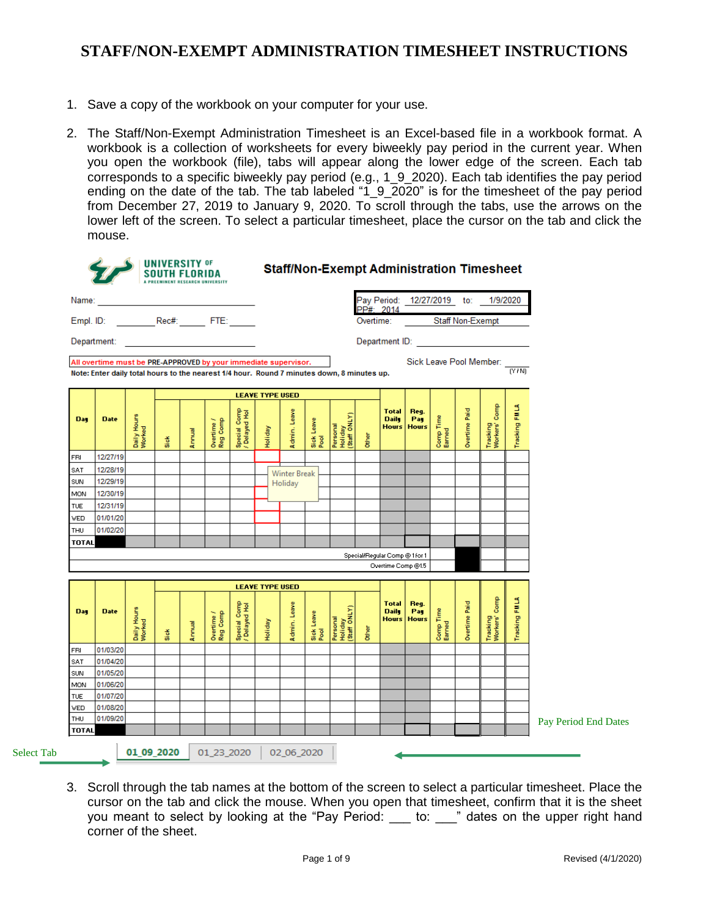- 1. Save a copy of the workbook on your computer for your use.
- 2. The Staff/Non-Exempt Administration Timesheet is an Excel-based file in a workbook format. A workbook is a collection of worksheets for every biweekly pay period in the current year. When you open the workbook (file), tabs will appear along the lower edge of the screen. Each tab corresponds to a specific biweekly pay period (e.g., 1\_9\_2020). Each tab identifies the pay period ending on the date of the tab. The tab labeled "1\_9\_2020" is for the timesheet of the pay period from December 27, 2019 to January 9, 2020. To scroll through the tabs, use the arrows on the lower left of the screen. To select a particular timesheet, place the cursor on the tab and click the mouse.

|              |                                                                                                                  |                                                   |      | <b>UNIVERSITY OF</b><br><b>SOUTH FLORIDA</b> |                        |                               |                        |                     |                    | <b>Staff/Non-Exempt Administration Timesheet</b> |       |                                              |                             |                     |               |                                     |               |                      |
|--------------|------------------------------------------------------------------------------------------------------------------|---------------------------------------------------|------|----------------------------------------------|------------------------|-------------------------------|------------------------|---------------------|--------------------|--------------------------------------------------|-------|----------------------------------------------|-----------------------------|---------------------|---------------|-------------------------------------|---------------|----------------------|
| Name:        |                                                                                                                  | <u> 1989 - Johann Barbara, martxa alemaniar a</u> |      |                                              |                        |                               |                        |                     |                    |                                                  |       |                                              |                             |                     |               | Pay Period: 12/27/2019 to: 1/9/2020 |               |                      |
|              |                                                                                                                  |                                                   |      |                                              |                        |                               |                        |                     |                    |                                                  |       | PP#: 2014<br>Overtime:                       |                             |                     |               | Staff Non-Exempt                    |               |                      |
|              | Department: University of the Commission of the Commission of the Commission of the Commission of the Commission |                                                   |      |                                              |                        |                               |                        |                     |                    |                                                  |       |                                              |                             |                     |               |                                     |               |                      |
|              |                                                                                                                  |                                                   |      |                                              |                        |                               |                        |                     |                    |                                                  |       |                                              |                             |                     |               |                                     |               |                      |
|              | All overtime must be PRE-APPROVED by your immediate supervisor.                                                  |                                                   |      |                                              |                        |                               |                        |                     |                    |                                                  |       |                                              |                             |                     |               | Sick Leave Pool Member:             | TYN           |                      |
|              | Note: Enter daily total hours to the nearest 1/4 hour. Round 7 minutes down, 8 minutes up.                       |                                                   |      |                                              |                        |                               |                        |                     |                    |                                                  |       |                                              |                             |                     |               |                                     |               |                      |
|              |                                                                                                                  |                                                   |      |                                              |                        |                               | <b>LEAVE TYPE USED</b> |                     |                    |                                                  |       |                                              |                             |                     |               |                                     |               |                      |
| <b>Day</b>   | <b>Date</b>                                                                                                      | Daily Hours<br>Worked                             | Sick | Annual                                       | Overtime /<br>Reg Comp | Special Comp<br>/ Delayed Hol | Holiday                | Admin, Leave        | Sick Leave<br>Pool | Personal<br>Holiday<br>(Staff ONLY)              | Other | <b>Total</b><br><b>Daily</b><br><b>Hours</b> | Reg.<br>Pay<br><b>Hours</b> | Comp Time<br>Earned | Overtime Paid | Tracking<br>Workers' Comp           | Tracking FMLA |                      |
| FRI          | 12/27/19                                                                                                         |                                                   |      |                                              |                        |                               |                        |                     |                    |                                                  |       |                                              |                             |                     |               |                                     |               |                      |
| SAT          | 12/28/19                                                                                                         |                                                   |      |                                              |                        |                               |                        | <b>Winter Break</b> |                    |                                                  |       |                                              |                             |                     |               |                                     |               |                      |
| SUN          | 12/29/19                                                                                                         |                                                   |      |                                              |                        |                               |                        | Holiday             |                    |                                                  |       |                                              |                             |                     |               |                                     |               |                      |
| MON          | 12/30/19                                                                                                         |                                                   |      |                                              |                        |                               |                        |                     |                    |                                                  |       |                                              |                             |                     |               |                                     |               |                      |
| <b>TUE</b>   | 12/31/19                                                                                                         |                                                   |      |                                              |                        |                               |                        |                     |                    |                                                  |       |                                              |                             |                     |               |                                     |               |                      |
| <b>VED</b>   | 01/01/20                                                                                                         |                                                   |      |                                              |                        |                               |                        |                     |                    |                                                  |       |                                              |                             |                     |               |                                     |               |                      |
| THU          | 01/02/20                                                                                                         |                                                   |      |                                              |                        |                               |                        |                     |                    |                                                  |       |                                              |                             |                     |               |                                     |               |                      |
| <b>TOTAL</b> |                                                                                                                  |                                                   |      |                                              |                        |                               |                        |                     |                    |                                                  |       |                                              |                             |                     |               |                                     |               |                      |
|              |                                                                                                                  |                                                   |      |                                              |                        |                               |                        |                     |                    |                                                  |       | Special/Regular Comp @ 1 for 1               |                             |                     |               |                                     |               |                      |
|              |                                                                                                                  |                                                   |      |                                              |                        |                               |                        |                     |                    |                                                  |       | Overtime Comp @1.5                           |                             |                     |               |                                     |               |                      |
|              |                                                                                                                  |                                                   |      |                                              |                        |                               | <b>LEAVE TYPE USED</b> |                     |                    |                                                  |       |                                              |                             |                     |               |                                     |               |                      |
| Day          | <b>Date</b>                                                                                                      | Daily Hours<br>Worked                             | Sick | Annual                                       | Overtime /<br>Reg Comp | Special Comp<br>/ Delayed Hol | Holiday                | Admin, Leave        | Sick Leave<br>Pool | Personal<br>Holiday<br>(Staff ONLY)              | Other | <b>Total</b><br><b>Daily</b><br><b>Hours</b> | Req.<br>Pay<br><b>Hours</b> | Comp Time<br>Earned | Overtime Paid | Tracking<br>Workers' Comp           | Tracking FMLA |                      |
| FRI          | 01/03/20                                                                                                         |                                                   |      |                                              |                        |                               |                        |                     |                    |                                                  |       |                                              |                             |                     |               |                                     |               |                      |
| SAT          | 01/04/20                                                                                                         |                                                   |      |                                              |                        |                               |                        |                     |                    |                                                  |       |                                              |                             |                     |               |                                     |               |                      |
| SUN          | 01/05/20                                                                                                         |                                                   |      |                                              |                        |                               |                        |                     |                    |                                                  |       |                                              |                             |                     |               |                                     |               |                      |
| MON          | 01/06/20                                                                                                         |                                                   |      |                                              |                        |                               |                        |                     |                    |                                                  |       |                                              |                             |                     |               |                                     |               |                      |
| <b>TUE</b>   | 01/07/20                                                                                                         |                                                   |      |                                              |                        |                               |                        |                     |                    |                                                  |       |                                              |                             |                     |               |                                     |               |                      |
| VED          | 01/08/20                                                                                                         |                                                   |      |                                              |                        |                               |                        |                     |                    |                                                  |       |                                              |                             |                     |               |                                     |               |                      |
| THU          | 01/09/20                                                                                                         |                                                   |      |                                              |                        |                               |                        |                     |                    |                                                  |       |                                              |                             |                     |               |                                     |               | Pay Period End Dates |

3. Scroll through the tab names at the bottom of the screen to select a particular timesheet. Place the cursor on the tab and click the mouse. When you open that timesheet, confirm that it is the sheet you meant to select by looking at the "Pay Period: \_\_\_ to: \_\_\_" dates on the upper right hand corner of the sheet.

Select Tab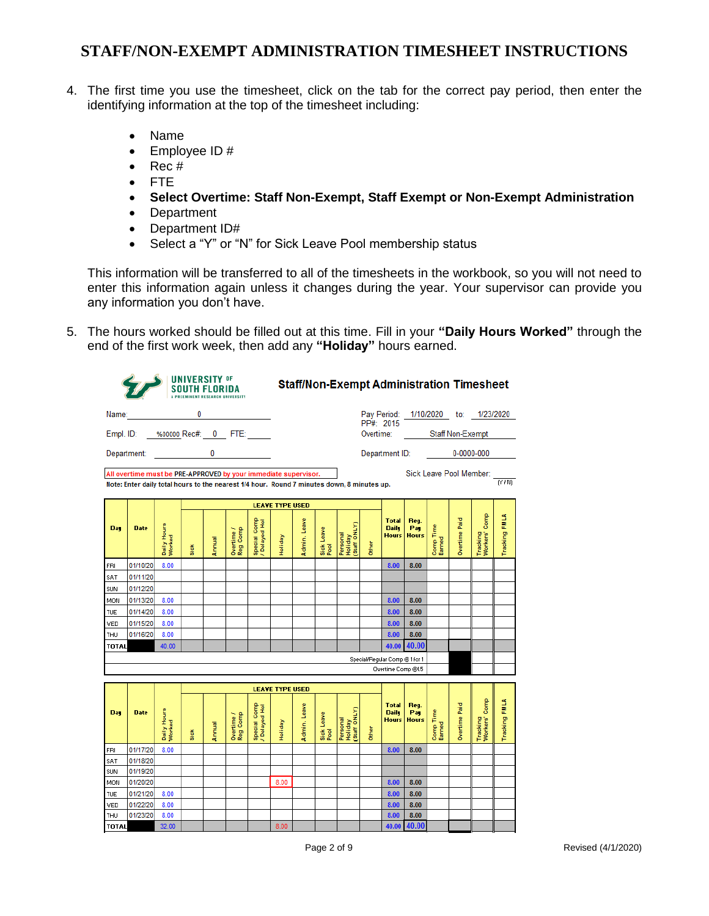- 4. The first time you use the timesheet, click on the tab for the correct pay period, then enter the identifying information at the top of the timesheet including:
	- Name
	- Employee ID #
	- $\bullet$  Rec #
	- FTE
	- **Select Overtime: Staff Non-Exempt, Staff Exempt or Non-Exempt Administration**
	- Department
	- Department ID#
	- Select a "Y" or "N" for Sick Leave Pool membership status

This information will be transferred to all of the timesheets in the workbook, so you will not need to enter this information again unless it changes during the year. Your supervisor can provide you any information you don't have.

5. The hours worked should be filled out at this time. Fill in your **"Daily Hours Worked"** through the end of the first work week, then add any **"Holiday"** hours earned.

|              |                                                                                            |                       | <b>UNIVERSITY OF</b><br><b>SOUTH FLORIDA</b> |        |                        |                               |                        |              |                    |                                     |                                |                                              | <b>Staff/Non-Exempt Administration Timesheet</b> |                     |               |                           |               |
|--------------|--------------------------------------------------------------------------------------------|-----------------------|----------------------------------------------|--------|------------------------|-------------------------------|------------------------|--------------|--------------------|-------------------------------------|--------------------------------|----------------------------------------------|--------------------------------------------------|---------------------|---------------|---------------------------|---------------|
| Name:        |                                                                                            |                       | 0                                            |        |                        |                               |                        |              |                    |                                     |                                |                                              | Pay Period: 1/10/2020 to: 1/23/2020              |                     |               |                           |               |
|              | Empl. ID: %00000 Rec#: 0 FTE:                                                              |                       |                                              |        |                        |                               |                        |              |                    |                                     | PP#: 2015                      |                                              | Overtime: Staff Non-Exempt                       |                     |               |                           |               |
|              | Department: ______________                                                                 |                       |                                              | 0      |                        |                               |                        |              |                    |                                     |                                |                                              | Department ID:                                   |                     | 0-0000-000    |                           |               |
|              | All overtime must be PRE-APPROVED by your immediate supervisor.                            |                       |                                              |        |                        |                               |                        |              |                    |                                     |                                |                                              |                                                  |                     |               | Sick Leave Pool Member:   |               |
|              | Note: Enter daily total hours to the nearest 1/4 hour. Round 7 minutes down, 8 minutes up. |                       |                                              |        |                        |                               |                        |              |                    |                                     |                                |                                              |                                                  |                     |               |                           | (Y/N)         |
|              |                                                                                            |                       |                                              |        |                        |                               | <b>LEAVE TYPE USED</b> |              |                    |                                     |                                |                                              |                                                  |                     |               |                           |               |
|              |                                                                                            |                       |                                              |        |                        |                               |                        |              |                    |                                     |                                |                                              |                                                  |                     |               |                           |               |
| Day          | <b>Date</b>                                                                                | Daily Hours<br>Worked | Si ok                                        | Annual | Reg Comp<br>Overtime / | Special Comp<br>/ Delayed Hol | Holiday                | Admin. Leave | Sick Leave<br>Pool | Staff ONLY)<br>Personal<br>Holiday  | Other                          | <b>Total</b><br><b>Daily</b><br><b>Hours</b> | Reg.<br>Pag<br><b>Hours</b>                      | Comp Time<br>Earned | Overtime Paid | Tracking<br>Workers' Comp | Tracking FMLA |
| FRI          | 01/10/20                                                                                   | 8.00                  |                                              |        |                        |                               |                        |              |                    |                                     |                                | 8.00                                         | 8.00                                             |                     |               |                           |               |
| SAT          | 01/11/20                                                                                   |                       |                                              |        |                        |                               |                        |              |                    |                                     |                                |                                              |                                                  |                     |               |                           |               |
| SUN          | 01/12/20                                                                                   |                       |                                              |        |                        |                               |                        |              |                    |                                     |                                |                                              |                                                  |                     |               |                           |               |
| MON          | 01/13/20                                                                                   | 8.00                  |                                              |        |                        |                               |                        |              |                    |                                     |                                | 8.00                                         | 8.00                                             |                     |               |                           |               |
| TUE          | 01/14/20                                                                                   | 8.00                  |                                              |        |                        |                               |                        |              |                    |                                     |                                | 8.00                                         | 8.00                                             |                     |               |                           |               |
| VED          | 01/15/20                                                                                   | 8.00                  |                                              |        |                        |                               |                        |              |                    |                                     |                                | 8.00                                         | 8.00                                             |                     |               |                           |               |
| THU          | 01/16/20                                                                                   | 8.00                  |                                              |        |                        |                               |                        |              |                    |                                     |                                | 8.00                                         | 8.00                                             |                     |               |                           |               |
| <b>TOTAL</b> |                                                                                            | 40.00                 |                                              |        |                        |                               |                        |              |                    |                                     |                                | 40.00                                        | 40.00                                            |                     |               |                           |               |
|              |                                                                                            |                       |                                              |        |                        |                               |                        |              |                    |                                     | Special/Regular Comp @ 1 for 1 |                                              |                                                  |                     |               |                           |               |
|              |                                                                                            |                       |                                              |        |                        |                               |                        |              |                    |                                     |                                | Overtime Comp @1.5                           |                                                  |                     |               |                           |               |
|              |                                                                                            |                       |                                              |        |                        |                               | <b>LEAVE TYPE USED</b> |              |                    |                                     |                                |                                              |                                                  |                     |               |                           |               |
| Day          | <b>Date</b>                                                                                | Daily Hours<br>Worked | Si ok                                        | Annual | Reg Comp<br>Overtime / | Special Comp<br>/ Delayed Hol | <b>Aepilo</b>          | Admin. Leave | Sick Leave<br>Pool | Personal<br>Holiday<br>(Staff ONLY) | Other                          | <b>Total</b><br><b>Daily</b><br><b>Hours</b> | Reg.<br>Pat<br><b>Hours</b>                      | Comp Time<br>Earned | Overtime Paid | Tracking<br>Workers' Comp | Tracking FMLA |
| FRI          | 01/17/20                                                                                   | 8.00                  |                                              |        |                        |                               |                        |              |                    |                                     |                                | 8.00                                         | 8.00                                             |                     |               |                           |               |
| SAT          | 01/18/20                                                                                   |                       |                                              |        |                        |                               |                        |              |                    |                                     |                                |                                              |                                                  |                     |               |                           |               |
| SUN          | 01/19/20                                                                                   |                       |                                              |        |                        |                               |                        |              |                    |                                     |                                |                                              |                                                  |                     |               |                           |               |
| MON          | 01/20/20                                                                                   |                       |                                              |        |                        |                               | 8.00                   |              |                    |                                     |                                | 8.00                                         | 8.00                                             |                     |               |                           |               |
| TUE          | 01/21/20                                                                                   | 8.00                  |                                              |        |                        |                               |                        |              |                    |                                     |                                | 8.00                                         | 8.00                                             |                     |               |                           |               |
| VED          | 01/22/20<br>01/23/20                                                                       | 8.00<br>8.00          |                                              |        |                        |                               |                        |              |                    |                                     |                                | 8.00<br>8.00                                 | 8.00<br>8.00                                     |                     |               |                           |               |
| THU          |                                                                                            | 32.00                 |                                              |        |                        |                               | 8.00                   |              |                    |                                     |                                | 40.00                                        | 40.00                                            |                     |               |                           |               |
| TOTAL        |                                                                                            |                       |                                              |        |                        |                               |                        |              |                    |                                     |                                |                                              |                                                  |                     |               |                           |               |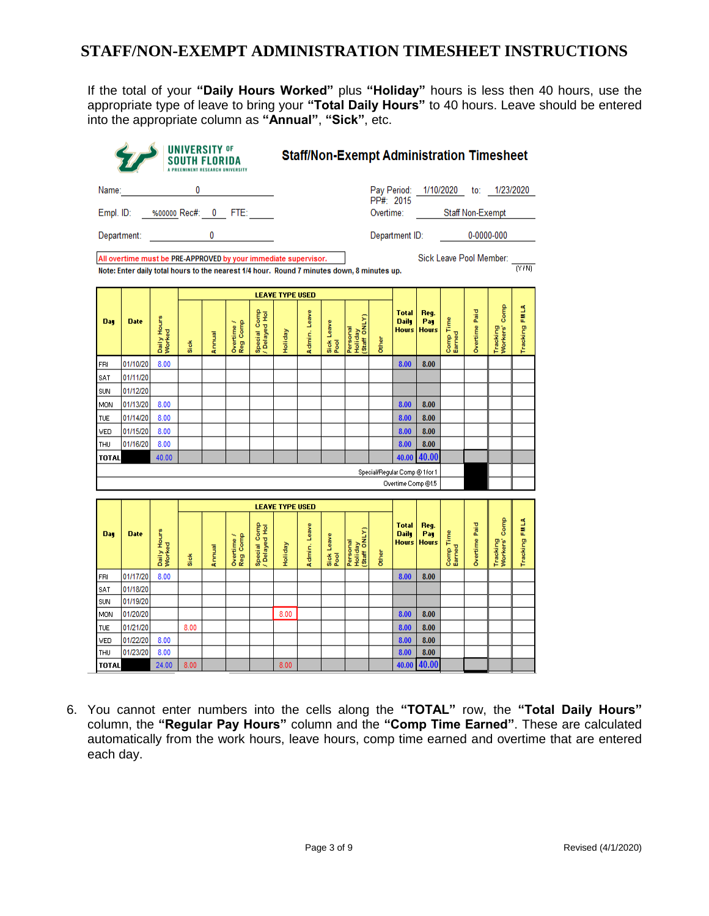If the total of your **"Daily Hours Worked"** plus **"Holiday"** hours is less then 40 hours, use the appropriate type of leave to bring your **"Total Daily Hours"** to 40 hours. Leave should be entered into the appropriate column as **"Annual"**, **"Sick"**, etc.

| Name:             |                                                                                            |                       | 0     |        |                                                                                                                                                                                                                                                                                                                                                                                                       |                               |                        |              |                    |                                     |           |                                              |                             |                     |               | Pay Period: 1/10/2020 to: 1/23/2020 |               |
|-------------------|--------------------------------------------------------------------------------------------|-----------------------|-------|--------|-------------------------------------------------------------------------------------------------------------------------------------------------------------------------------------------------------------------------------------------------------------------------------------------------------------------------------------------------------------------------------------------------------|-------------------------------|------------------------|--------------|--------------------|-------------------------------------|-----------|----------------------------------------------|-----------------------------|---------------------|---------------|-------------------------------------|---------------|
|                   | Empl. ID: %00000 Rec#: 0 FTE: ____                                                         |                       |       |        |                                                                                                                                                                                                                                                                                                                                                                                                       |                               |                        |              |                    |                                     | PP#: 2015 |                                              | Overtime: Staff Non-Exempt  |                     |               |                                     |               |
|                   |                                                                                            |                       |       |        |                                                                                                                                                                                                                                                                                                                                                                                                       |                               |                        |              |                    |                                     |           |                                              |                             |                     |               |                                     |               |
|                   | Department: <b>Example</b>                                                                 |                       |       |        | $\overline{\mathbf{0}}$ and $\overline{\mathbf{0}}$ and $\overline{\mathbf{0}}$ and $\overline{\mathbf{0}}$ and $\overline{\mathbf{0}}$ and $\overline{\mathbf{0}}$ and $\overline{\mathbf{0}}$ and $\overline{\mathbf{0}}$ and $\overline{\mathbf{0}}$ and $\overline{\mathbf{0}}$ and $\overline{\mathbf{0}}$ and $\overline{\mathbf{0}}$ and $\overline{\mathbf{0}}$ and $\overline{\mathbf{0}}$ a |                               |                        |              |                    |                                     |           |                                              |                             |                     |               | Department ID: 0-0000-000           |               |
|                   | All overtime must be PRE-APPROVED by your immediate supervisor.                            |                       |       |        |                                                                                                                                                                                                                                                                                                                                                                                                       |                               |                        |              |                    |                                     |           |                                              |                             |                     |               | Sick Leave Pool Member:             |               |
|                   | Note: Enter daily total hours to the nearest 1/4 hour. Round 7 minutes down, 8 minutes up. |                       |       |        |                                                                                                                                                                                                                                                                                                                                                                                                       |                               |                        |              |                    |                                     |           |                                              |                             |                     |               |                                     | $(N+N)$       |
|                   |                                                                                            |                       |       |        |                                                                                                                                                                                                                                                                                                                                                                                                       |                               | <b>LEAVE TYPE USED</b> |              |                    |                                     |           |                                              |                             |                     |               |                                     |               |
|                   |                                                                                            |                       |       |        |                                                                                                                                                                                                                                                                                                                                                                                                       |                               |                        |              |                    |                                     |           | <b>Total</b>                                 | Reg.                        |                     |               | Comp                                |               |
| Day               | <b>Date</b>                                                                                | Daily Hours<br>Worked | Si ok | Annual | Reg Comp<br>Overtime /                                                                                                                                                                                                                                                                                                                                                                                | Special Comp<br>/ Delayed Hol | Holiday                | Admin, Leave | Sick Leave<br>Pool | Personal<br>Holiday<br>(Staff ONLY) | Other     | <b>Daily</b><br><b>Hours</b>                 | Pag<br><b>Hours</b>         | Comp Time<br>Earned | Overtime Paid | Tracking<br>Workers' (              | Tracking FMLA |
| FRI               | 01/10/20                                                                                   | 8.00                  |       |        |                                                                                                                                                                                                                                                                                                                                                                                                       |                               |                        |              |                    |                                     |           | 8.00                                         | 8.00                        |                     |               |                                     |               |
| SAT               | 01/11/20                                                                                   |                       |       |        |                                                                                                                                                                                                                                                                                                                                                                                                       |                               |                        |              |                    |                                     |           |                                              |                             |                     |               |                                     |               |
| SUN               | 01/12/20                                                                                   |                       |       |        |                                                                                                                                                                                                                                                                                                                                                                                                       |                               |                        |              |                    |                                     |           |                                              |                             |                     |               |                                     |               |
| MON               | 01/13/20                                                                                   | 8.00                  |       |        |                                                                                                                                                                                                                                                                                                                                                                                                       |                               |                        |              |                    |                                     |           | 8.00                                         | 8.00                        |                     |               |                                     |               |
| <b>TUE</b>        | 01/14/20                                                                                   | 8.00                  |       |        |                                                                                                                                                                                                                                                                                                                                                                                                       |                               |                        |              |                    |                                     |           | 8.00                                         | 8.00                        |                     |               |                                     |               |
| <b>VED</b>        | 01/15/20                                                                                   | 8.00                  |       |        |                                                                                                                                                                                                                                                                                                                                                                                                       |                               |                        |              |                    |                                     |           | 8.00                                         | 8.00                        |                     |               |                                     |               |
| THU               | 01/16/20                                                                                   | 8.00                  |       |        |                                                                                                                                                                                                                                                                                                                                                                                                       |                               |                        |              |                    |                                     |           | 8.00                                         | 8.00                        |                     |               |                                     |               |
| <b>TOTAL</b>      |                                                                                            | 40.00                 |       |        |                                                                                                                                                                                                                                                                                                                                                                                                       |                               |                        |              |                    |                                     |           | 40.00                                        | 40.00                       |                     |               |                                     |               |
|                   |                                                                                            |                       |       |        |                                                                                                                                                                                                                                                                                                                                                                                                       |                               |                        |              |                    |                                     |           | Special/Regular Comp @ 1 for 1               |                             |                     |               |                                     |               |
|                   |                                                                                            |                       |       |        |                                                                                                                                                                                                                                                                                                                                                                                                       |                               |                        |              |                    |                                     |           | Overtime Comp @1.5                           |                             |                     |               |                                     |               |
|                   |                                                                                            |                       |       |        |                                                                                                                                                                                                                                                                                                                                                                                                       |                               | <b>LEAVE TYPE USED</b> |              |                    |                                     |           |                                              |                             |                     |               |                                     |               |
|                   |                                                                                            |                       |       |        |                                                                                                                                                                                                                                                                                                                                                                                                       |                               |                        |              |                    |                                     |           |                                              |                             |                     |               |                                     |               |
| <b>Day</b>        | <b>Date</b>                                                                                | Daily Hours<br>Worked | Si ok | Annual | Overtime /<br>Reg Comp                                                                                                                                                                                                                                                                                                                                                                                |                               | <b>tepilot</b>         | Admin, Leave | Sick Leave<br>Pool |                                     | Other     | <b>Total</b><br><b>Daily</b><br><b>Hours</b> | Req.<br>Pay<br><b>Hours</b> | Comp Time<br>Earned | Overtime Paid | Tracking<br>Workers' Comp           | Tracking FMLA |
|                   | 01/17/20                                                                                   | 8.00                  |       |        |                                                                                                                                                                                                                                                                                                                                                                                                       | Special Comp<br>/ Delayed Hol |                        |              |                    | Personal<br>Holiday<br>(Staff ONLY) |           | 8.00                                         | 8.00                        |                     |               |                                     |               |
|                   | 01/18/20                                                                                   |                       |       |        |                                                                                                                                                                                                                                                                                                                                                                                                       |                               |                        |              |                    |                                     |           |                                              |                             |                     |               |                                     |               |
| FRI<br>SAT<br>SUN | 01/19/20                                                                                   |                       |       |        |                                                                                                                                                                                                                                                                                                                                                                                                       |                               |                        |              |                    |                                     |           |                                              |                             |                     |               |                                     |               |
| <b>MON</b>        | 01/20/20                                                                                   |                       |       |        |                                                                                                                                                                                                                                                                                                                                                                                                       |                               | 8.00                   |              |                    |                                     |           | 8.00                                         | 8.00                        |                     |               |                                     |               |
| <b>TUE</b>        | 01/21/20                                                                                   |                       | 8.00  |        |                                                                                                                                                                                                                                                                                                                                                                                                       |                               |                        |              |                    |                                     |           | 8.00                                         | 8.00                        |                     |               |                                     |               |
| VED<br>THU        | 01/22/20<br>01/23/20                                                                       | 8.00<br>8.00          |       |        |                                                                                                                                                                                                                                                                                                                                                                                                       |                               |                        |              |                    |                                     |           | 8.00<br>8.00                                 | 8.00<br>8.00                |                     |               |                                     |               |

6. You cannot enter numbers into the cells along the **"TOTAL"** row, the **"Total Daily Hours"** column, the **"Regular Pay Hours"** column and the **"Comp Time Earned"**. These are calculated automatically from the work hours, leave hours, comp time earned and overtime that are entered each day.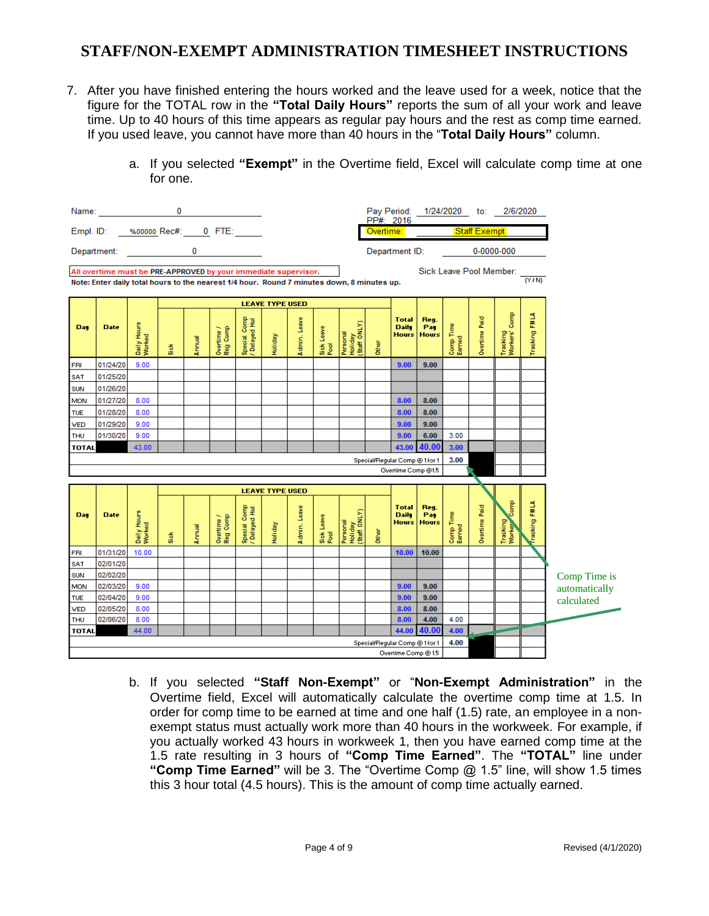- 7. After you have finished entering the hours worked and the leave used for a week, notice that the figure for the TOTAL row in the **"Total Daily Hours"** reports the sum of all your work and leave time. Up to 40 hours of this time appears as regular pay hours and the rest as comp time earned. If you used leave, you cannot have more than 40 hours in the "**Total Daily Hours"** column.
	- a. If you selected **"Exempt"** in the Overtime field, Excel will calculate comp time at one for one.

|              | Name: 0                                                                                                                                                       |                       |       |        |                        |                               |                                   |              |                    |                                     |       | PP#: 2016                                    | Pay Period: 1/24/2020 to: 2/6/2020 |                     |                         |                            |               |               |
|--------------|---------------------------------------------------------------------------------------------------------------------------------------------------------------|-----------------------|-------|--------|------------------------|-------------------------------|-----------------------------------|--------------|--------------------|-------------------------------------|-------|----------------------------------------------|------------------------------------|---------------------|-------------------------|----------------------------|---------------|---------------|
|              | Empl. ID: 3600000 Rec#: 0 FTE:                                                                                                                                |                       |       |        |                        |                               |                                   |              |                    |                                     |       |                                              | Overtime: Staff Exempt             |                     |                         |                            |               |               |
|              | Department: 0                                                                                                                                                 |                       |       |        |                        |                               |                                   |              |                    |                                     |       | Department ID:                               |                                    |                     |                         | $0 - 0000 - 000$           |               |               |
|              | All overtime must be PRE-APPROVED by your immediate supervisor.<br>Note: Enter daily total hours to the nearest 1/4 hour. Round 7 minutes down, 8 minutes up. |                       |       |        |                        |                               |                                   |              |                    |                                     |       |                                              |                                    |                     | Sick Leave Pool Member: |                            | (Y/N)         |               |
|              |                                                                                                                                                               |                       |       |        |                        |                               |                                   |              |                    |                                     |       |                                              |                                    |                     |                         |                            |               |               |
| Day          | <b>Date</b>                                                                                                                                                   | Daily Hours<br>Worked | Sick  | Annual | Overtime /<br>Reg Comp | Special Comp<br>/ Delayed Hol | <b>LEAVE TYPE USED</b><br>Holiday | Admin, Leave | Sick Leave<br>Pool | Holiday<br>(Staff ONLY)<br>Personal | Other | <b>Total</b><br><b>Daily</b><br><b>Hours</b> | Req.<br>Pag<br><b>Hours</b>        | Comp Time<br>Earned | Overtime Paid           | Tracking<br>Workers' Comp  | Tracking FMLA |               |
| <b>FRI</b>   | 01/24/20                                                                                                                                                      | 9.00                  |       |        |                        |                               |                                   |              |                    |                                     |       | 9.00                                         | 9.00                               |                     |                         |                            |               |               |
| SAT          | 01/25/20                                                                                                                                                      |                       |       |        |                        |                               |                                   |              |                    |                                     |       |                                              |                                    |                     |                         |                            |               |               |
| SUN          | 01/26/20                                                                                                                                                      |                       |       |        |                        |                               |                                   |              |                    |                                     |       |                                              |                                    |                     |                         |                            |               |               |
| MON          | 01/27/20                                                                                                                                                      | 8.00                  |       |        |                        |                               |                                   |              |                    |                                     |       | 8.00                                         | 8.00                               |                     |                         |                            |               |               |
| <b>TUE</b>   | 01/28/20                                                                                                                                                      | 8.00                  |       |        |                        |                               |                                   |              |                    |                                     |       | 8.00                                         | 8.00                               |                     |                         |                            |               |               |
| <b>VED</b>   | 01/29/20                                                                                                                                                      | 9.00                  |       |        |                        |                               |                                   |              |                    |                                     |       | 9.00                                         | 9.00                               |                     |                         |                            |               |               |
| THU          | 01/30/20                                                                                                                                                      | 9.00                  |       |        |                        |                               |                                   |              |                    |                                     |       | 9.00                                         | 6.00                               | 3.00                |                         |                            |               |               |
| <b>TOTAL</b> |                                                                                                                                                               | 43.00                 |       |        |                        |                               |                                   |              |                    |                                     |       | 43.00                                        | 40.00                              | 3.00                |                         |                            |               |               |
|              |                                                                                                                                                               |                       |       |        |                        |                               |                                   |              |                    |                                     |       | Special/Regular Comp @ 1 for 1               |                                    | 3.00                |                         |                            |               |               |
|              |                                                                                                                                                               |                       |       |        |                        |                               |                                   |              |                    |                                     |       | Overtime Comp @1.5                           |                                    |                     |                         |                            |               |               |
|              |                                                                                                                                                               |                       |       |        |                        |                               |                                   |              |                    |                                     |       |                                              |                                    |                     |                         |                            |               |               |
|              |                                                                                                                                                               |                       |       |        |                        |                               | <b>LEAVE TYPE USED</b>            |              |                    |                                     |       |                                              |                                    |                     |                         |                            |               |               |
| Day          | <b>Date</b>                                                                                                                                                   | Daily Hours<br>Worked | Si ok | Annual | Overtime /<br>Reg Comp | Special Comp<br>/ Delayed Hol | Holiday                           | Admin. Leave | Sick Leave<br>Pool | Holiday<br>(Staff ONLY)<br>Personal | Other | <b>Total</b><br><b>Daily</b><br>Hours        | Reg.<br>Pag<br><b>Hours</b>        | Comp Time<br>Earned | Overtime Paid           | Čomp<br>Tracking<br>Worker | Fracking FMLA |               |
| <b>FRI</b>   | 01/31/20                                                                                                                                                      | 10.00                 |       |        |                        |                               |                                   |              |                    |                                     |       | 10.00                                        | 10.00                              |                     |                         |                            |               |               |
| SAT          | 02/01/20                                                                                                                                                      |                       |       |        |                        |                               |                                   |              |                    |                                     |       |                                              |                                    |                     |                         |                            |               |               |
| SUN          | 02/02/20                                                                                                                                                      |                       |       |        |                        |                               |                                   |              |                    |                                     |       |                                              |                                    |                     |                         |                            |               | Comp Time is  |
| MON          | 02/03/20                                                                                                                                                      | 9.00                  |       |        |                        |                               |                                   |              |                    |                                     |       | 9.00                                         | 9.00                               |                     |                         |                            |               | automatically |
| <b>TUE</b>   | 02/04/20                                                                                                                                                      | 9.00                  |       |        |                        |                               |                                   |              |                    |                                     |       | 9.00                                         | 9.00                               |                     |                         |                            |               | calculated    |
| <b>VED</b>   | 02/05/20                                                                                                                                                      | 8.00                  |       |        |                        |                               |                                   |              |                    |                                     |       | 8.00                                         | 8.00                               |                     |                         |                            |               |               |
| THU          | 02/06/20                                                                                                                                                      | 8.00                  |       |        |                        |                               |                                   |              |                    |                                     |       | 8.00                                         | 4.00                               | 4.00                |                         |                            |               |               |
| <b>TOTAL</b> |                                                                                                                                                               | 44.00                 |       |        |                        |                               |                                   |              |                    |                                     |       | 44.00                                        | 40.00                              | 4.00                |                         |                            |               |               |
|              |                                                                                                                                                               |                       |       |        |                        |                               |                                   |              |                    |                                     |       | Special/Regular Comp @ 1 for 1               |                                    | 4.00                |                         |                            |               |               |
|              |                                                                                                                                                               |                       |       |        |                        |                               |                                   |              |                    |                                     |       | Overtime Comp @ 1.5                          |                                    |                     |                         |                            |               |               |

b. If you selected **"Staff Non-Exempt"** or "**Non-Exempt Administration"** in the Overtime field, Excel will automatically calculate the overtime comp time at 1.5. In order for comp time to be earned at time and one half (1.5) rate, an employee in a nonexempt status must actually work more than 40 hours in the workweek. For example, if you actually worked 43 hours in workweek 1, then you have earned comp time at the 1.5 rate resulting in 3 hours of **"Comp Time Earned"**. The **"TOTAL"** line under **"Comp Time Earned"** will be 3. The "Overtime Comp @ 1.5" line, will show 1.5 times this 3 hour total (4.5 hours). This is the amount of comp time actually earned.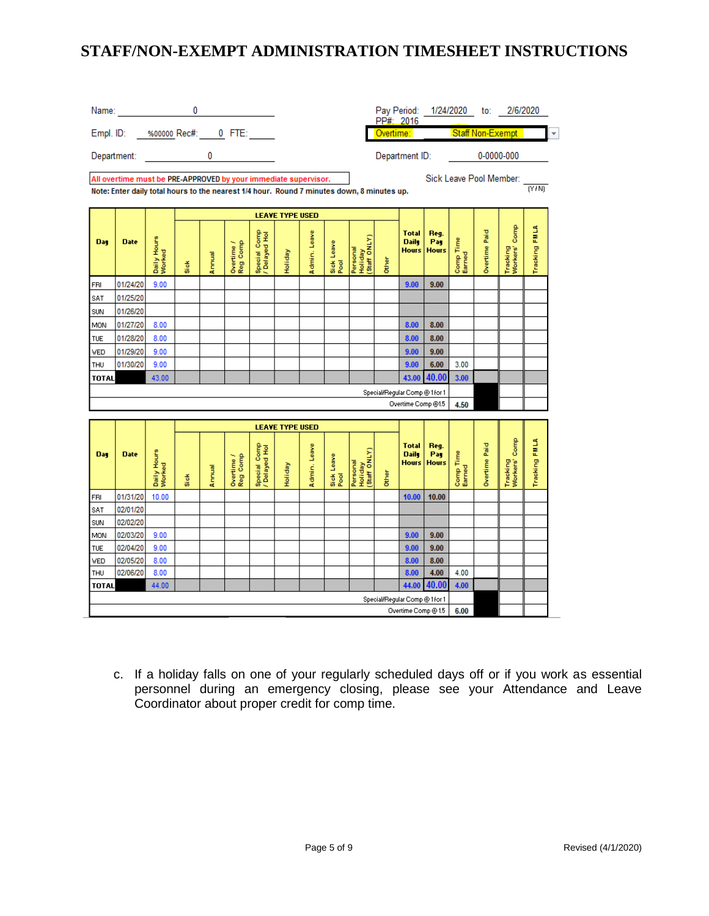|              | Name: Name: Name: Name: Name: Name: Name: Name: Name: Name: Name: Name: Name: Name: Name: Name: Name: Name: Name: Name: Name: Name: Name: Name: Name: Name: Name: Name: Name: Name: Name: Name: Name: Name: Name: Name: Name: |                       | 0     |        |                        |                                                                                                                                                                                                                                                                                                                                    |                                          |              |                    |                                     |       | PP#: 2016                                    |                             |                         |               | Pay Period: 1/24/2020 to: 2/6/2020 |               |
|--------------|-------------------------------------------------------------------------------------------------------------------------------------------------------------------------------------------------------------------------------|-----------------------|-------|--------|------------------------|------------------------------------------------------------------------------------------------------------------------------------------------------------------------------------------------------------------------------------------------------------------------------------------------------------------------------------|------------------------------------------|--------------|--------------------|-------------------------------------|-------|----------------------------------------------|-----------------------------|-------------------------|---------------|------------------------------------|---------------|
|              | Empl. ID: ____ %00000_Rec#: ____ 0__ FTE: ______                                                                                                                                                                              |                       |       |        |                        |                                                                                                                                                                                                                                                                                                                                    |                                          |              |                    |                                     |       | Overtime: <b>Overtime</b>                    |                             |                         |               | Staff Non-Exempt                   |               |
|              | Department:                                                                                                                                                                                                                   |                       |       |        |                        | $\overline{0}$ and $\overline{0}$ and $\overline{0}$ and $\overline{0}$ and $\overline{0}$ and $\overline{0}$ and $\overline{0}$ and $\overline{0}$ and $\overline{0}$ and $\overline{0}$ and $\overline{0}$ and $\overline{0}$ and $\overline{0}$ and $\overline{0}$ and $\overline{0}$ and $\overline{0}$ and $\overline{0}$ and |                                          |              |                    |                                     |       | Department ID:                               |                             |                         |               | 0-0000-000                         |               |
|              | All overtime must be PRE-APPROVED by your immediate supervisor.<br>Note: Enter daily total hours to the nearest 1/4 hour. Round 7 minutes down, 8 minutes up.                                                                 |                       |       |        |                        |                                                                                                                                                                                                                                                                                                                                    |                                          |              |                    |                                     |       |                                              |                             | Sick Leave Pool Member: |               |                                    | <b>TYTNI</b>  |
|              |                                                                                                                                                                                                                               |                       |       |        |                        |                                                                                                                                                                                                                                                                                                                                    | <b>LEAVE TYPE USED</b>                   |              |                    |                                     |       |                                              |                             |                         |               |                                    |               |
| Day          | <b>Date</b>                                                                                                                                                                                                                   | Daily Hours<br>Worked | Si ok | Annual | Reg Comp<br>Overtime / | Special Comp<br>/ Delayed Hol                                                                                                                                                                                                                                                                                                      | Holiday                                  | Admin, Leave | Sick Leave<br>Pool | Personal<br>Holiday<br>(Staff ONLY) | Other | <b>Total</b><br><b>Daily</b><br>Hours        | Reg.<br>Pay<br><b>Hours</b> | Comp Time<br>Earned     | Overtime Paid | Tracking<br>Workers' Comp          | Tracking FMLA |
| FRI          | 01/24/20                                                                                                                                                                                                                      | 9.00                  |       |        |                        |                                                                                                                                                                                                                                                                                                                                    |                                          |              |                    |                                     |       | 9.00                                         | 9.00                        |                         |               |                                    |               |
| SAT          | 01/25/20                                                                                                                                                                                                                      |                       |       |        |                        |                                                                                                                                                                                                                                                                                                                                    |                                          |              |                    |                                     |       |                                              |                             |                         |               |                                    |               |
| SUN          | 01/26/20                                                                                                                                                                                                                      |                       |       |        |                        |                                                                                                                                                                                                                                                                                                                                    |                                          |              |                    |                                     |       |                                              |                             |                         |               |                                    |               |
| MON          | 01/27/20                                                                                                                                                                                                                      | 8.00                  |       |        |                        |                                                                                                                                                                                                                                                                                                                                    |                                          |              |                    |                                     |       | 8.00                                         | 8.00                        |                         |               |                                    |               |
| <b>TUE</b>   | 01/28/20                                                                                                                                                                                                                      | 8.00                  |       |        |                        |                                                                                                                                                                                                                                                                                                                                    |                                          |              |                    |                                     |       | 8.00                                         | 8.00                        |                         |               |                                    |               |
| VED.         | 01/29/20                                                                                                                                                                                                                      | 9.00                  |       |        |                        |                                                                                                                                                                                                                                                                                                                                    |                                          |              |                    |                                     |       | 9.00                                         | 9.00                        |                         |               |                                    |               |
| THU          | 01/30/20                                                                                                                                                                                                                      | 9.00                  |       |        |                        |                                                                                                                                                                                                                                                                                                                                    |                                          |              |                    |                                     |       | 9.00                                         | 6.00                        | 3.00                    |               |                                    |               |
| <b>TOTAL</b> |                                                                                                                                                                                                                               | 43.00                 |       |        |                        |                                                                                                                                                                                                                                                                                                                                    |                                          |              |                    |                                     |       | 43.00                                        | 40.00                       | 3.00                    |               |                                    |               |
|              |                                                                                                                                                                                                                               |                       |       |        |                        |                                                                                                                                                                                                                                                                                                                                    |                                          |              |                    |                                     |       | Special/Regular Comp @ 1 for 1               |                             |                         |               |                                    |               |
|              |                                                                                                                                                                                                                               |                       |       |        |                        |                                                                                                                                                                                                                                                                                                                                    |                                          |              |                    |                                     |       | Overtime Comp @1.5                           |                             | 4.50                    |               |                                    |               |
|              |                                                                                                                                                                                                                               |                       |       |        |                        |                                                                                                                                                                                                                                                                                                                                    |                                          |              |                    |                                     |       |                                              |                             |                         |               |                                    |               |
| Day          | <b>Date</b>                                                                                                                                                                                                                   | Daily Hours<br>Worked | Si ok | Annual | Overtime /<br>Reg Comp | Special Comp<br>Delayed Hol                                                                                                                                                                                                                                                                                                        | <b>LEAVE TYPE USED</b><br><b>Holiday</b> | Admin, Leave | Sick Leave<br>Pool | Personal<br>Holiday<br>(Staff ONLY) | Other | <b>Total</b><br><b>Daily</b><br><b>Hours</b> | Reg.<br>Pay<br><b>Hours</b> | Comp Time<br>Earned     | Overtime Paid | Tracking<br>Workers' Comp          | Tracking FMLA |
| FRI          | 01/31/20                                                                                                                                                                                                                      | 10.00                 |       |        |                        |                                                                                                                                                                                                                                                                                                                                    |                                          |              |                    |                                     |       | 10.00                                        | 10.00                       |                         |               |                                    |               |
| <b>SAT</b>   | 02/01/20                                                                                                                                                                                                                      |                       |       |        |                        |                                                                                                                                                                                                                                                                                                                                    |                                          |              |                    |                                     |       |                                              |                             |                         |               |                                    |               |
| SUN          | 02/02/20                                                                                                                                                                                                                      |                       |       |        |                        |                                                                                                                                                                                                                                                                                                                                    |                                          |              |                    |                                     |       |                                              |                             |                         |               |                                    |               |
| MON          | 02/03/20                                                                                                                                                                                                                      | 9.00                  |       |        |                        |                                                                                                                                                                                                                                                                                                                                    |                                          |              |                    |                                     |       | 9.00                                         | 9.00                        |                         |               |                                    |               |
| TUE          | 02/04/20                                                                                                                                                                                                                      | 9.00                  |       |        |                        |                                                                                                                                                                                                                                                                                                                                    |                                          |              |                    |                                     |       | 9.00                                         | 9.00                        |                         |               |                                    |               |
| VED          | 02/05/20                                                                                                                                                                                                                      | 8.00                  |       |        |                        |                                                                                                                                                                                                                                                                                                                                    |                                          |              |                    |                                     |       | 8.00                                         | 8.00                        |                         |               |                                    |               |
| THU          | 02/06/20                                                                                                                                                                                                                      | 8.00                  |       |        |                        |                                                                                                                                                                                                                                                                                                                                    |                                          |              |                    |                                     |       | 8.00                                         | 4.00                        | 4.00                    |               |                                    |               |
| <b>TOTAL</b> |                                                                                                                                                                                                                               | 44.00                 |       |        |                        |                                                                                                                                                                                                                                                                                                                                    |                                          |              |                    |                                     |       | 44.00                                        | 40.00                       | 4.00                    |               |                                    |               |
|              |                                                                                                                                                                                                                               |                       |       |        |                        |                                                                                                                                                                                                                                                                                                                                    |                                          |              |                    |                                     |       | Special/Regular Comp @ 1 for 1               |                             |                         |               |                                    |               |
|              |                                                                                                                                                                                                                               |                       |       |        |                        |                                                                                                                                                                                                                                                                                                                                    |                                          |              |                    |                                     |       | Overtime Comp @ 1.5                          |                             | 6.00                    |               |                                    |               |

c. If a holiday falls on one of your regularly scheduled days off or if you work as essential personnel during an emergency closing, please see your Attendance and Leave Coordinator about proper credit for comp time.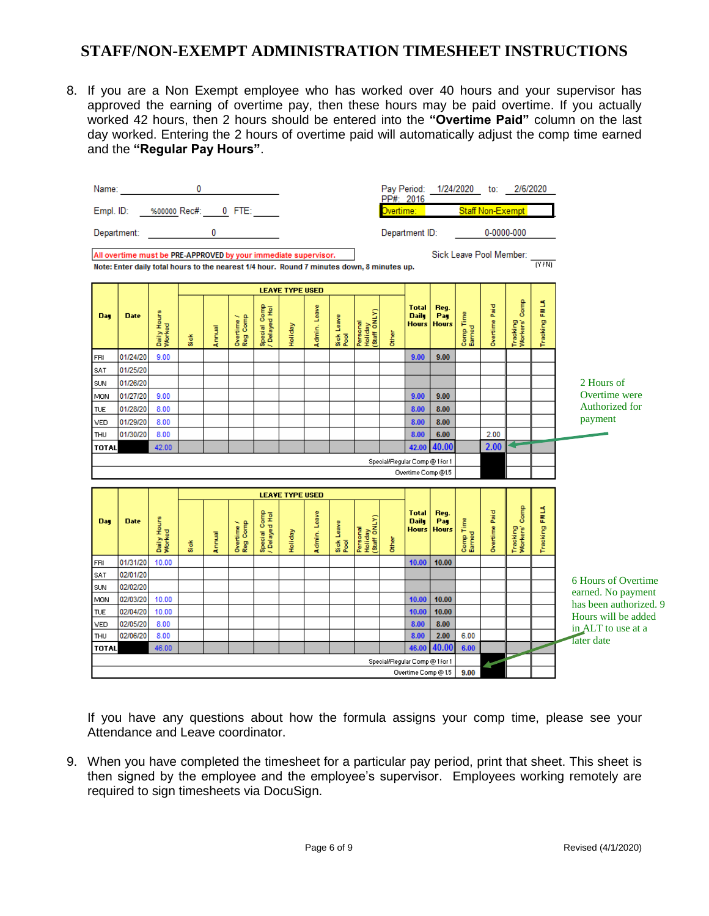8. If you are a Non Exempt employee who has worked over 40 hours and your supervisor has approved the earning of overtime pay, then these hours may be paid overtime. If you actually worked 42 hours, then 2 hours should be entered into the **"Overtime Paid"** column on the last day worked. Entering the 2 hours of overtime paid will automatically adjust the comp time earned and the **"Regular Pay Hours"**.



If you have any questions about how the formula assigns your comp time, please see your Attendance and Leave coordinator.

9. When you have completed the timesheet for a particular pay period, print that sheet. This sheet is then signed by the employee and the employee's supervisor. Employees working remotely are required to sign timesheets via DocuSign.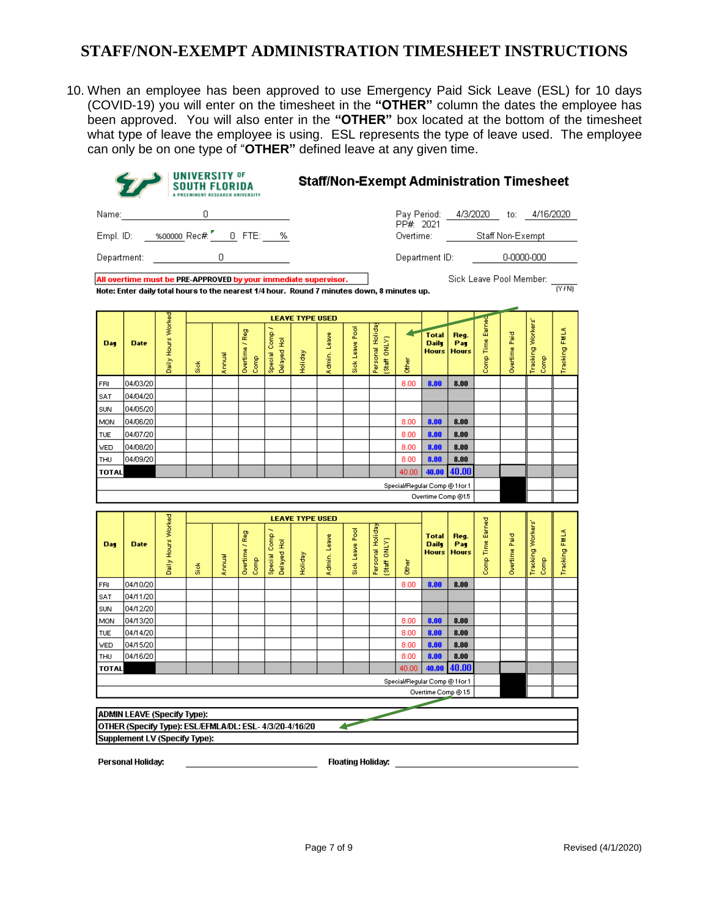10. When an employee has been approved to use Emergency Paid Sick Leave (ESL) for 10 days (COVID-19) you will enter on the timesheet in the **"OTHER"** column the dates the employee has been approved. You will also enter in the **"OTHER"** box located at the bottom of the timesheet what type of leave the employee is using. ESL represents the type of leave used. The employee can only be on one type of "**OTHER"** defined leave at any given time.

|            |                                                                                                                                                               |                    |             | <b>UNIVERSITY OF</b> |                                                      |                               |                        |              |                          |                                  |                                |                                              |                             |                     |                      | <b>Staff/Non-Exempt Administration Timesheet</b> |               |
|------------|---------------------------------------------------------------------------------------------------------------------------------------------------------------|--------------------|-------------|----------------------|------------------------------------------------------|-------------------------------|------------------------|--------------|--------------------------|----------------------------------|--------------------------------|----------------------------------------------|-----------------------------|---------------------|----------------------|--------------------------------------------------|---------------|
| Name:      |                                                                                                                                                               |                    | $\mathsf D$ |                      |                                                      |                               |                        |              |                          |                                  | PP# 2021                       |                                              |                             |                     |                      | Pay Period: 4/3/2020 to: 4/16/2020               |               |
|            | Empl. ID: 3600000 Rec# 7 0 FTE: 36                                                                                                                            |                    |             |                      |                                                      |                               |                        |              |                          |                                  |                                | Overtime: <b>compared to the compare</b>     |                             |                     |                      | Staff Non-Exempt                                 |               |
|            | Department: _____________                                                                                                                                     |                    |             |                      | $\begin{array}{ccc} 0 & \cdots & \cdots \end{array}$ |                               |                        |              |                          |                                  |                                | Department ID:                               |                             |                     |                      | 0-0000-000                                       |               |
|            | All overtime must be PRE-APPROVED by your immediate supervisor.<br>Note: Enter daily total hours to the nearest 1/4 hour. Round 7 minutes down, 8 minutes up. |                    |             |                      |                                                      |                               |                        |              |                          |                                  |                                |                                              |                             |                     |                      | Sick Leave Pool Member:                          | (Y/N)         |
|            |                                                                                                                                                               |                    |             |                      |                                                      |                               | <b>LEAVE TYPE USED</b> |              |                          |                                  |                                |                                              |                             |                     |                      |                                                  |               |
| <b>Day</b> | <b>Date</b>                                                                                                                                                   | Daily Hours Worked | Siek        | Annual               | Overtime / Reg<br>Comp                               | Special Comp /<br>Delayed Hol | Holiday                | Admin, Leave | Sick Leave Pool          | Personal Holida<br>Staff ONLY)   | Other                          | <b>Total</b><br><b>Daily</b><br><b>Hours</b> | Reg.<br>Pay<br><b>Hours</b> | Earned<br>Comp Time | <b>Overtime Paid</b> | Tracking Workers'<br>Comp                        | Tracking FMLA |
| FRI        | 04/03/20                                                                                                                                                      |                    |             |                      |                                                      |                               |                        |              |                          |                                  | 8.00                           | 8.00                                         | 8.00                        |                     |                      |                                                  |               |
| SAT        | 04/04/20                                                                                                                                                      |                    |             |                      |                                                      |                               |                        |              |                          |                                  |                                |                                              |                             |                     |                      |                                                  |               |
| SUN        | 04/05/20                                                                                                                                                      |                    |             |                      |                                                      |                               |                        |              |                          |                                  |                                |                                              |                             |                     |                      |                                                  |               |
| MON        | 04/06/20                                                                                                                                                      |                    |             |                      |                                                      |                               |                        |              |                          |                                  | 8.00                           | 8.00                                         | 8.00                        |                     |                      |                                                  |               |
| TUE        | 04/07/20                                                                                                                                                      |                    |             |                      |                                                      |                               |                        |              |                          |                                  | 8.00                           | 8.00                                         | 8.00                        |                     |                      |                                                  |               |
| WED        | 04/08/20                                                                                                                                                      |                    |             |                      |                                                      |                               |                        |              |                          |                                  | 8.00                           | 8.00                                         | 8.00                        |                     |                      |                                                  |               |
| THU        | 04/09/20                                                                                                                                                      |                    |             |                      |                                                      |                               |                        |              |                          |                                  | 8.00                           | 8.00                                         | 8.00<br>40.00               |                     |                      |                                                  |               |
|            |                                                                                                                                                               |                    |             |                      |                                                      |                               | <b>LEAVE TYPE USED</b> |              |                          |                                  | Special/Regular Comp @ 1 for 1 | Overtime Comp @1.5                           |                             |                     |                      |                                                  |               |
| <b>Day</b> | <b>Date</b>                                                                                                                                                   | Daily Hours Worked | Siek        | Annual               | Overtime / Reg<br>Comp                               | Special Comp /<br>Delayed Hol | Holiday                | Admin, Leave | Sick Leave Pool          | Personal Holiday<br>(Staff ONLY) | ð<br>B                         | <b>Total</b><br><b>Daily</b><br><b>Hours</b> | Reg.<br>Pay<br><b>Hours</b> | Comp Time Earned    | <b>Overtime Paid</b> | Tracking Workers<br>Comp                         | Tracking FMLA |
| FRI        | 04/10/20                                                                                                                                                      |                    |             |                      |                                                      |                               |                        |              |                          |                                  | 8.00                           | 8.00                                         | 8.00                        |                     |                      |                                                  |               |
| SAT        | 04/11/20                                                                                                                                                      |                    |             |                      |                                                      |                               |                        |              |                          |                                  |                                |                                              |                             |                     |                      |                                                  |               |
| SUN        | 04/12/20                                                                                                                                                      |                    |             |                      |                                                      |                               |                        |              |                          |                                  |                                |                                              |                             |                     |                      |                                                  |               |
| MON<br>TUE | 04/13/20<br>04/14/20                                                                                                                                          |                    |             |                      |                                                      |                               |                        |              |                          |                                  | 8.00<br>8.00                   | 8.00<br>8.00                                 | 8.00<br>8.00                |                     |                      |                                                  |               |
| WED        | 04/15/20                                                                                                                                                      |                    |             |                      |                                                      |                               |                        |              |                          |                                  | 8.00                           | 8.00                                         | 8.00                        |                     |                      |                                                  |               |
| THU        | 04/16/20                                                                                                                                                      |                    |             |                      |                                                      |                               |                        |              |                          |                                  | 8.00                           | 8.00                                         | 8.00                        |                     |                      |                                                  |               |
| TOTAL      |                                                                                                                                                               |                    |             |                      |                                                      |                               |                        |              |                          |                                  | 40.00                          | 40.00                                        | 40.00                       |                     |                      |                                                  |               |
|            |                                                                                                                                                               |                    |             |                      |                                                      |                               |                        |              |                          |                                  | Special/Regular Comp @ 1 for 1 | Overtime Comp @ 1.5                          |                             |                     |                      |                                                  |               |
|            | ADMIN LEAVE (Specify Type):<br>OTHER (Specify Type): ESL/EFMLA/DL: ESL- 4/3/20-4/16/20<br>Supplement LV (Specify Type):                                       |                    |             |                      |                                                      |                               |                        |              | ◢                        |                                  |                                |                                              |                             |                     |                      |                                                  |               |
|            | Personal Holidav:                                                                                                                                             |                    |             |                      |                                                      |                               |                        |              | <b>Floating Holiday:</b> |                                  |                                |                                              |                             |                     |                      |                                                  |               |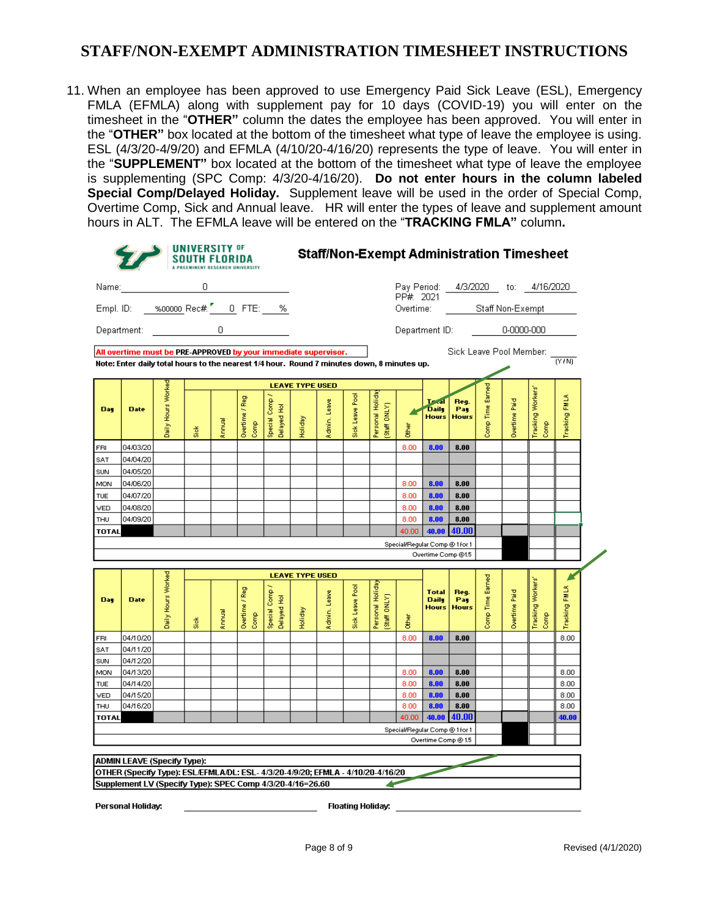11. When an employee has been approved to use Emergency Paid Sick Leave (ESL), Emergency FMLA (EFMLA) along with supplement pay for 10 days (COVID-19) you will enter on the timesheet in the "**OTHER"** column the dates the employee has been approved. You will enter in the "**OTHER"** box located at the bottom of the timesheet what type of leave the employee is using. ESL (4/3/20-4/9/20) and EFMLA (4/10/20-4/16/20) represents the type of leave. You will enter in the "**SUPPLEMENT"** box located at the bottom of the timesheet what type of leave the employee is supplementing (SPC Comp: 4/3/20-4/16/20). **Do not enter hours in the column labeled Special Comp/Delayed Holiday.** Supplement leave will be used in the order of Special Comp, Overtime Comp, Sick and Annual leave. HR will enter the types of leave and supplement amount hours in ALT. The EFMLA leave will be entered on the "**TRACKING FMLA"** column**.** 

|                   |                                                                                                                                                                                    |                    | <b>UNIVERSITY OF</b> |        | A PREEMINENT RESEARCH UNIVERSITY |                                                       | <b>Staff/Non-Exempt Administration Timesheet</b> |              |                 |                                 |                                                                                                                                                                                                                                      |                                              |                             |                     |               |                                    |                |  |  |
|-------------------|------------------------------------------------------------------------------------------------------------------------------------------------------------------------------------|--------------------|----------------------|--------|----------------------------------|-------------------------------------------------------|--------------------------------------------------|--------------|-----------------|---------------------------------|--------------------------------------------------------------------------------------------------------------------------------------------------------------------------------------------------------------------------------------|----------------------------------------------|-----------------------------|---------------------|---------------|------------------------------------|----------------|--|--|
| Name:             |                                                                                                                                                                                    |                    | 0                    |        |                                  | <u> 1999 - Johann Barnett, f</u>                      |                                                  |              |                 |                                 | PP# 2021                                                                                                                                                                                                                             |                                              |                             |                     |               | Pay Period: 4/3/2020 to: 4/16/2020 |                |  |  |
|                   | Empl. ID: ____ %00000_Rec#. L______ FTE: ____ %                                                                                                                                    |                    |                      |        |                                  |                                                       |                                                  |              |                 |                                 | Overtime: <b>contract of the contract of the contract of the contract of the contract of the contract of the contract of the contract of the contract of the contract of the contract of the contract of the contract of the con</b> | Staff Non-Exempt                             |                             |                     |               |                                    |                |  |  |
|                   |                                                                                                                                                                                    |                    |                      |        |                                  |                                                       |                                                  |              |                 |                                 |                                                                                                                                                                                                                                      |                                              | Department ID:              |                     |               | 0-0000-000                         |                |  |  |
|                   | All overtime must be PRE-APPROVED by your immediate supervisor.                                                                                                                    |                    |                      |        |                                  |                                                       |                                                  |              |                 |                                 |                                                                                                                                                                                                                                      |                                              |                             |                     |               | Sick Leave Pool Member:            |                |  |  |
|                   | Note: Enter daily total hours to the nearest 1/4 hour. Round 7 minutes down, 8 minutes up.                                                                                         |                    |                      |        |                                  |                                                       |                                                  |              |                 |                                 |                                                                                                                                                                                                                                      |                                              |                             |                     |               |                                    | $\overline{N}$ |  |  |
|                   |                                                                                                                                                                                    |                    |                      |        |                                  |                                                       | <b>LEAVE TYPE USED</b>                           |              |                 |                                 |                                                                                                                                                                                                                                      |                                              |                             |                     |               |                                    |                |  |  |
| Day               | <b>Date</b>                                                                                                                                                                        | Daily Hours Worked | Siek                 | Annual | Overtime / Reg<br>Comp           | Comp /<br>$\overline{z}$<br>Delayed I<br>Special I    | Holiday                                          | Admin, Leave | Sick Leave Pool | Personal Holida<br>Staff ONLY)  | Other                                                                                                                                                                                                                                | <b>Texal</b><br><b>Daily</b><br><b>Hours</b> | Reg.<br>Pag<br><b>Hours</b> | Comp Time Earned    | Overtime Paid | Tracking Workers'<br>Comp          | Tracking FMLA  |  |  |
| FRI               | 04/03/20                                                                                                                                                                           |                    |                      |        |                                  |                                                       |                                                  |              |                 |                                 | 8.00                                                                                                                                                                                                                                 | 8.00                                         | 8.00                        |                     |               |                                    |                |  |  |
| SAT               | 04/04/20                                                                                                                                                                           |                    |                      |        |                                  |                                                       |                                                  |              |                 |                                 |                                                                                                                                                                                                                                      |                                              |                             |                     |               |                                    |                |  |  |
| SUN               | 04/05/20                                                                                                                                                                           |                    |                      |        |                                  |                                                       |                                                  |              |                 |                                 |                                                                                                                                                                                                                                      |                                              |                             |                     |               |                                    |                |  |  |
| MON               | 04/06/20                                                                                                                                                                           |                    |                      |        |                                  |                                                       |                                                  |              |                 |                                 | 8.00                                                                                                                                                                                                                                 | 8.00                                         | 8.00                        |                     |               |                                    |                |  |  |
| TUE               | 04/07/20                                                                                                                                                                           |                    |                      |        |                                  |                                                       |                                                  |              |                 |                                 | 8.00                                                                                                                                                                                                                                 | 8.00                                         | 8.00                        |                     |               |                                    |                |  |  |
| <b>VED</b>        | 04/08/20                                                                                                                                                                           |                    |                      |        |                                  |                                                       |                                                  |              |                 |                                 | 8.00                                                                                                                                                                                                                                 | 8.00                                         | 8.00                        |                     |               |                                    |                |  |  |
| THU               | 04/09/20                                                                                                                                                                           |                    |                      |        |                                  |                                                       |                                                  |              |                 |                                 | 8.00                                                                                                                                                                                                                                 | 8.00                                         | 8.00<br>40.00               |                     |               |                                    |                |  |  |
| <b>TOTAL</b>      |                                                                                                                                                                                    |                    |                      |        |                                  |                                                       |                                                  |              |                 |                                 | 40.00<br>Special/Regular Comp @ 1 for 1                                                                                                                                                                                              | 40.00                                        |                             |                     |               |                                    |                |  |  |
|                   |                                                                                                                                                                                    |                    |                      |        |                                  |                                                       |                                                  |              |                 |                                 |                                                                                                                                                                                                                                      | Overtime Comp @1.5                           |                             |                     |               |                                    |                |  |  |
|                   |                                                                                                                                                                                    |                    |                      |        |                                  |                                                       | <b>LEAVE TYPE USED</b>                           |              |                 |                                 |                                                                                                                                                                                                                                      |                                              |                             |                     |               |                                    |                |  |  |
| <b>Day</b>        | <b>Date</b>                                                                                                                                                                        | Daily Hours Worked | Sick                 | Annual | Overtime / Reg<br>Comp           | Special Comp<br>$\overline{\mathcal{L}}$<br>Delayed H | Holiday                                          | Admin, Leave | Sick Leave Pool | Personal Holiday<br>Staff ONLY) | ð<br>B                                                                                                                                                                                                                               | <b>Total</b><br><b>Daily</b><br><b>Hours</b> | Reg.<br>Pag<br><b>Hours</b> | Earned<br>Comp Time | Duertime Paid | Tracking Workers'<br>Comp          | Tracking FMLA  |  |  |
| FRI               | 04/10/20                                                                                                                                                                           |                    |                      |        |                                  |                                                       |                                                  |              |                 |                                 | 8.00                                                                                                                                                                                                                                 | 8.00                                         | 8.00                        |                     |               |                                    | 8.00           |  |  |
| SAT               | 04/11/20                                                                                                                                                                           |                    |                      |        |                                  |                                                       |                                                  |              |                 |                                 |                                                                                                                                                                                                                                      |                                              |                             |                     |               |                                    |                |  |  |
| SUN               | 04/12/20                                                                                                                                                                           |                    |                      |        |                                  |                                                       |                                                  |              |                 |                                 |                                                                                                                                                                                                                                      |                                              |                             |                     |               |                                    |                |  |  |
| MON<br><b>TUE</b> | 04/13/20<br>04/14/20                                                                                                                                                               |                    |                      |        |                                  |                                                       |                                                  |              |                 |                                 | 8.00<br>8.00                                                                                                                                                                                                                         | 8.00<br>8.00                                 | 8.00<br>8.00                |                     |               |                                    | 8.00<br>8.00   |  |  |
| WED               | 04/15/20                                                                                                                                                                           |                    |                      |        |                                  |                                                       |                                                  |              |                 |                                 | 8.00                                                                                                                                                                                                                                 | 8.00                                         | 8.00                        |                     |               |                                    | 8.00           |  |  |
| THU               | 04/16/20                                                                                                                                                                           |                    |                      |        |                                  |                                                       |                                                  |              |                 |                                 | 8.00                                                                                                                                                                                                                                 | 8.00                                         | 8.00                        |                     |               |                                    | 8.00           |  |  |
| TOTAL             |                                                                                                                                                                                    |                    |                      |        |                                  |                                                       |                                                  |              |                 |                                 | 40.00                                                                                                                                                                                                                                | 40.00                                        | 40.00                       |                     |               |                                    | 40.00          |  |  |
|                   |                                                                                                                                                                                    |                    |                      |        |                                  |                                                       |                                                  |              |                 |                                 | Special/Regular Comp @ 1 for 1                                                                                                                                                                                                       | Overtime Comp @ 1.5                          |                             |                     |               |                                    |                |  |  |
|                   | <b>ADMIN LEAVE (Specify Type):</b><br>OTHER (Specify Type): ESL/EFMLA/DL: ESL- 4/3/20-4/9/20; EFMLA - 4/10/20-4/16/20<br>Supplement LV (Specify Type): SPEC Comp 4/3/20-4/16=26.60 |                    |                      |        |                                  |                                                       |                                                  |              |                 |                                 |                                                                                                                                                                                                                                      |                                              |                             |                     |               |                                    |                |  |  |

Personal Holiday:

**Floating Holiday:**